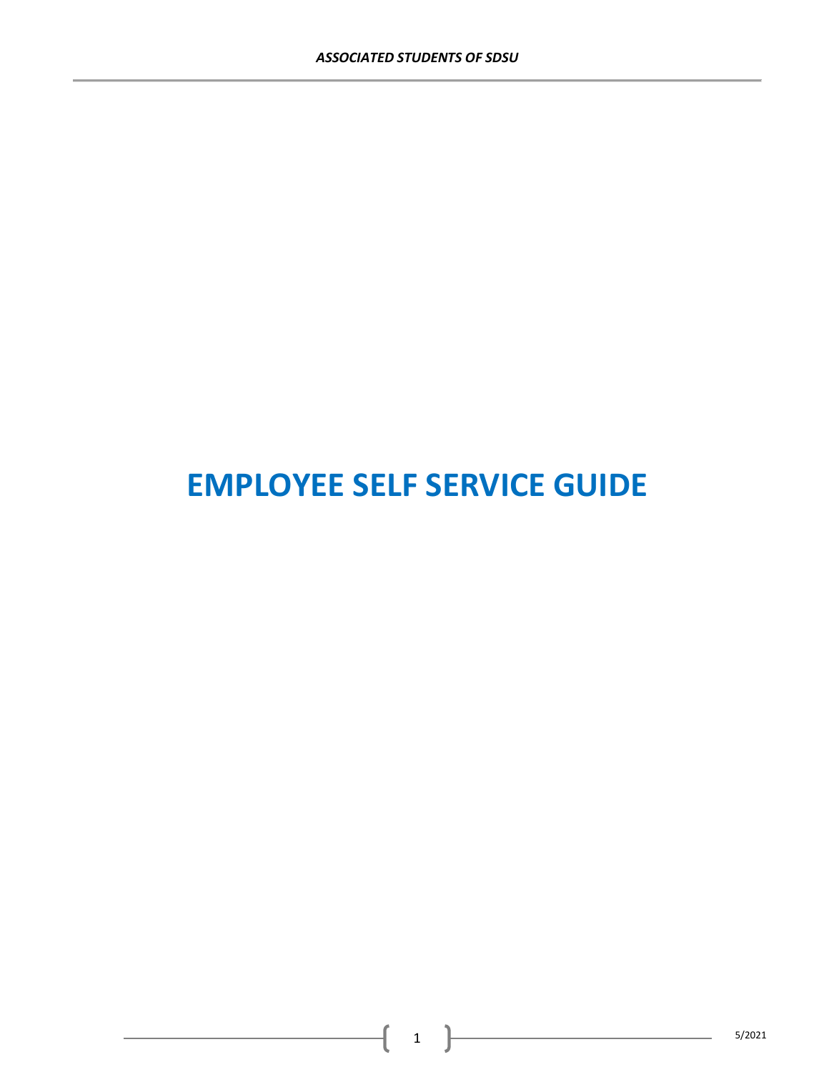# **EMPLOYEE SELF SERVICE GUIDE**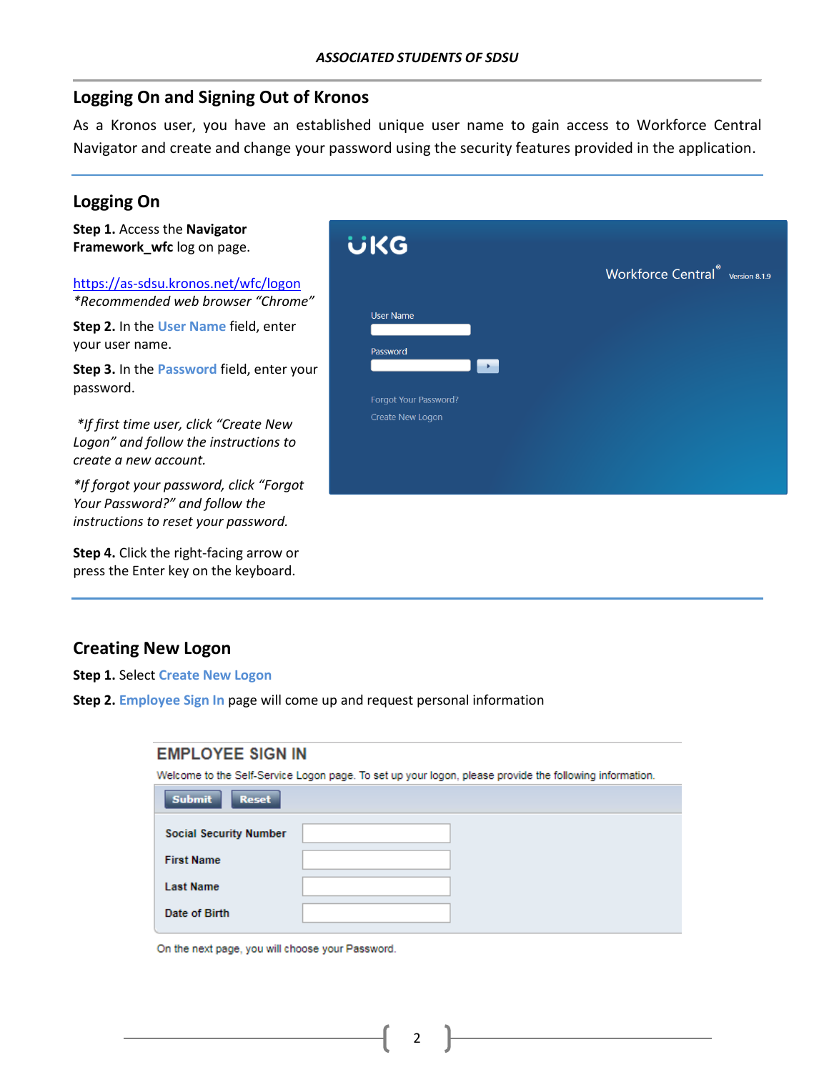### **Logging On and Signing Out of Kronos**

As a Kronos user, you have an established unique user name to gain access to Workforce Central Navigator and create and change your password using the security features provided in the application.

## **Logging On**

| Step 1. Access the Navigator<br>Framework_wfc log on page.                                                                                                                                      | üKG                                                                                                   |
|-------------------------------------------------------------------------------------------------------------------------------------------------------------------------------------------------|-------------------------------------------------------------------------------------------------------|
| https://as-sdsu.kronos.net/wfc/logon<br>*Recommended web browser "Chrome"<br>Step 2. In the User Name field, enter<br>your user name.<br>Step 3. In the Password field, enter your<br>password. | Workforce Central <sup>®</sup> Version 8.1.9<br><b>User Name</b><br>Password<br>Forgot Your Password? |
| *If first time user, click "Create New<br>Logon" and follow the instructions to<br>create a new account.                                                                                        | Create New Logon                                                                                      |
| *If forgot your password, click "Forgot<br>Your Password?" and follow the<br>instructions to reset your password.                                                                               |                                                                                                       |
| <b>Step 4.</b> Click the right-facing arrow or<br>press the Enter key on the keyboard.                                                                                                          |                                                                                                       |

## **Creating New Logon**

**Step 1.** Select **Create New Logon**

**Step 2. Employee Sign In** page will come up and request personal information

| <b>EMPLOYEE SIGN IN</b>                                                                                 |  |  |  |  |  |  |  |  |
|---------------------------------------------------------------------------------------------------------|--|--|--|--|--|--|--|--|
| Welcome to the Self-Service Logon page. To set up your logon, please provide the following information. |  |  |  |  |  |  |  |  |
| <b>Submit</b><br><b>Reset</b>                                                                           |  |  |  |  |  |  |  |  |
| <b>Social Security Number</b>                                                                           |  |  |  |  |  |  |  |  |
| <b>First Name</b>                                                                                       |  |  |  |  |  |  |  |  |
| <b>Last Name</b>                                                                                        |  |  |  |  |  |  |  |  |
| Date of Birth                                                                                           |  |  |  |  |  |  |  |  |

On the next page, you will choose your Password.

2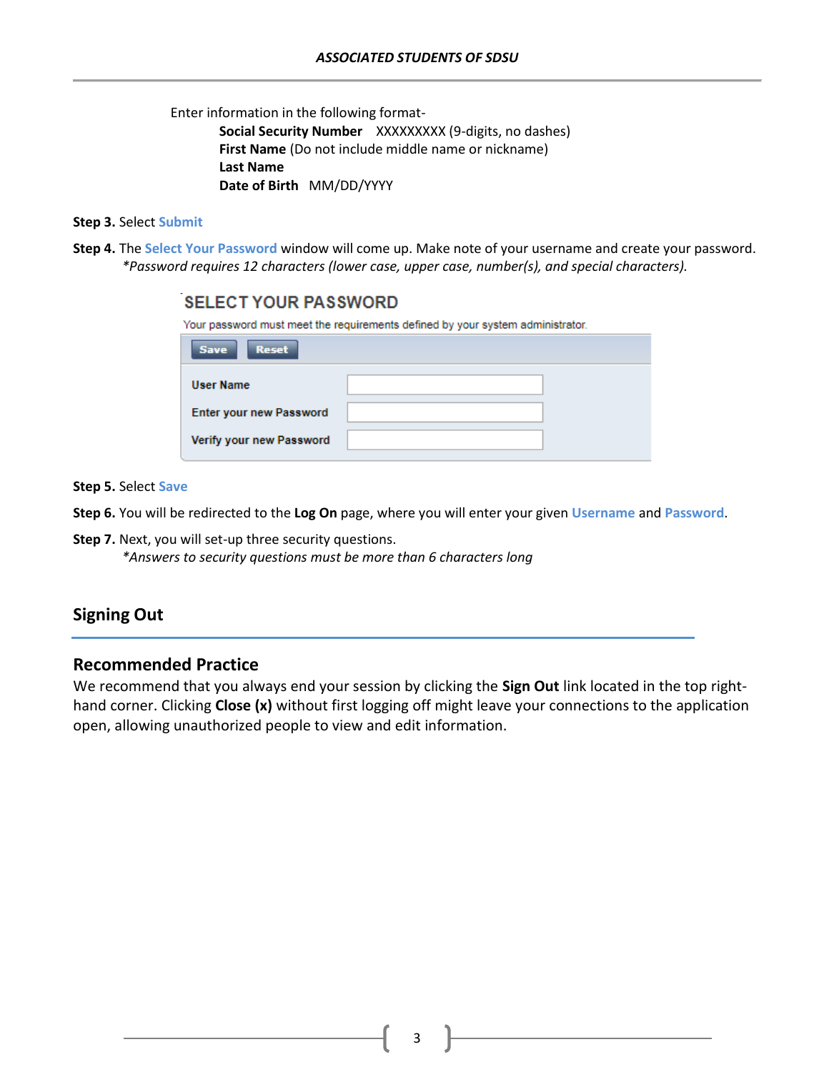Enter information in the following format-

**Social Security Number** XXXXXXXXX (9-digits, no dashes) **First Name** (Do not include middle name or nickname) **Last Name Date of Birth** MM/DD/YYYY

#### **Step 3.** Select **Submit**

**Step 4.** The **Select Your Password** window will come up. Make note of your username and create your password. *\*Password requires 12 characters (lower case, upper case, number(s), and special characters).*

# **SELECT YOUR PASSWORD** Your password must meet the requirements defined by your system administrator. Reset **Save User Name Enter your new Password** Verify your new Password

**Step 5.** Select **Save**

**Step 6.** You will be redirected to the **Log On** page, where you will enter your given **Username** and **Password**.

**Step 7.** Next, you will set-up three security questions.

*\*Answers to security questions must be more than 6 characters long*

#### **Signing Out**

#### **Recommended Practice**

We recommend that you always end your session by clicking the **Sign Out** link located in the top righthand corner. Clicking **Close (x)** without first logging off might leave your connections to the application open, allowing unauthorized people to view and edit information.

3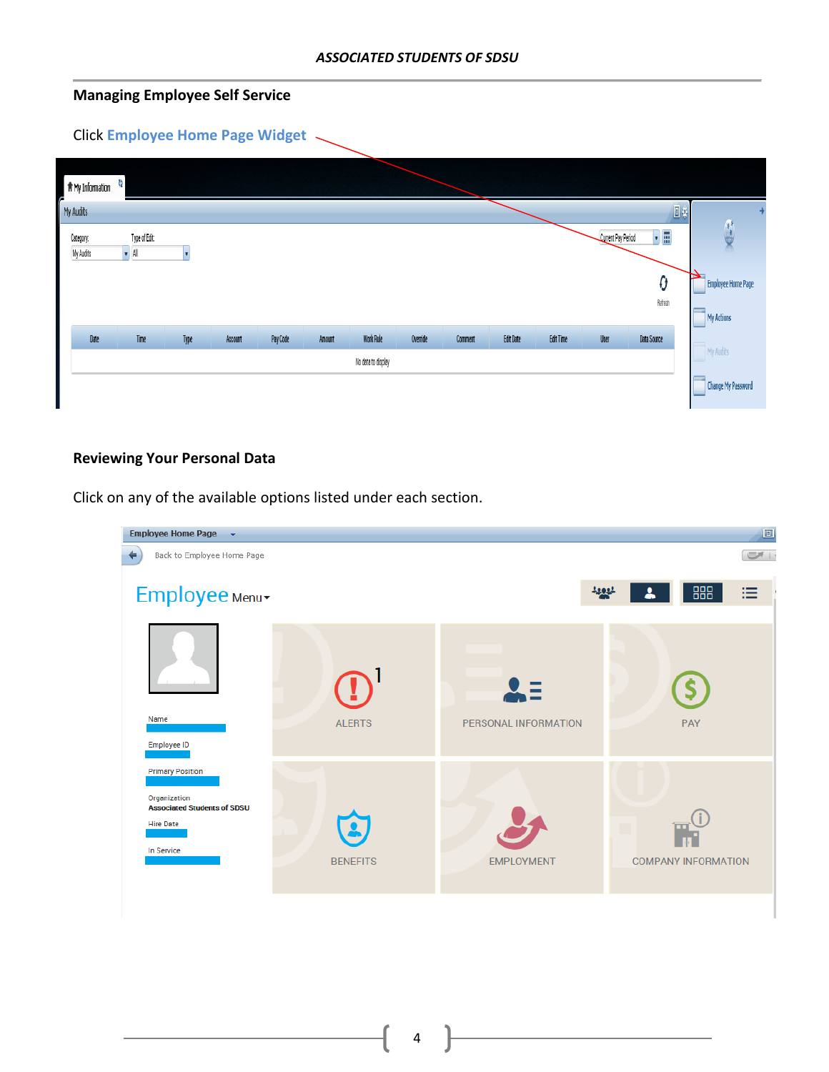#### **Managing Employee Self Service**

# Click **Employee Home Page Widget**

| T # My Information     |                                |      |         |          |        |                    |          |         |                  |                  |                    |                    |                    |                           |
|------------------------|--------------------------------|------|---------|----------|--------|--------------------|----------|---------|------------------|------------------|--------------------|--------------------|--------------------|---------------------------|
| My Audits              |                                |      |         |          |        |                    |          |         |                  |                  |                    |                    | 回菜                 | →                         |
| Category:<br>My Audits | Type of Edit:<br>$\bullet$ All |      |         |          |        |                    |          |         |                  |                  | Current Pay Period | ▼⊞                 | Æ<br>$\frac{1}{2}$ |                           |
|                        |                                |      |         |          |        |                    |          |         |                  |                  |                    | O                  | ш                  | <b>Employee Home Page</b> |
|                        |                                |      |         |          |        |                    |          |         |                  |                  |                    | Refreeh            | My Actions         |                           |
| Date                   | Time                           | Type | Account | Pay Code | Amount | <b>Work Rule</b>   | Override | Comment | <b>Edit Date</b> | <b>Edit Time</b> | User               | <b>Data Source</b> |                    |                           |
|                        |                                |      |         |          |        | No data to display |          |         |                  |                  |                    |                    | My Audits          |                           |
|                        |                                |      |         |          |        |                    |          |         |                  |                  |                    |                    |                    | <b>Change My Password</b> |

#### **Reviewing Your Personal Data**

Click on any of the available options listed under each section.

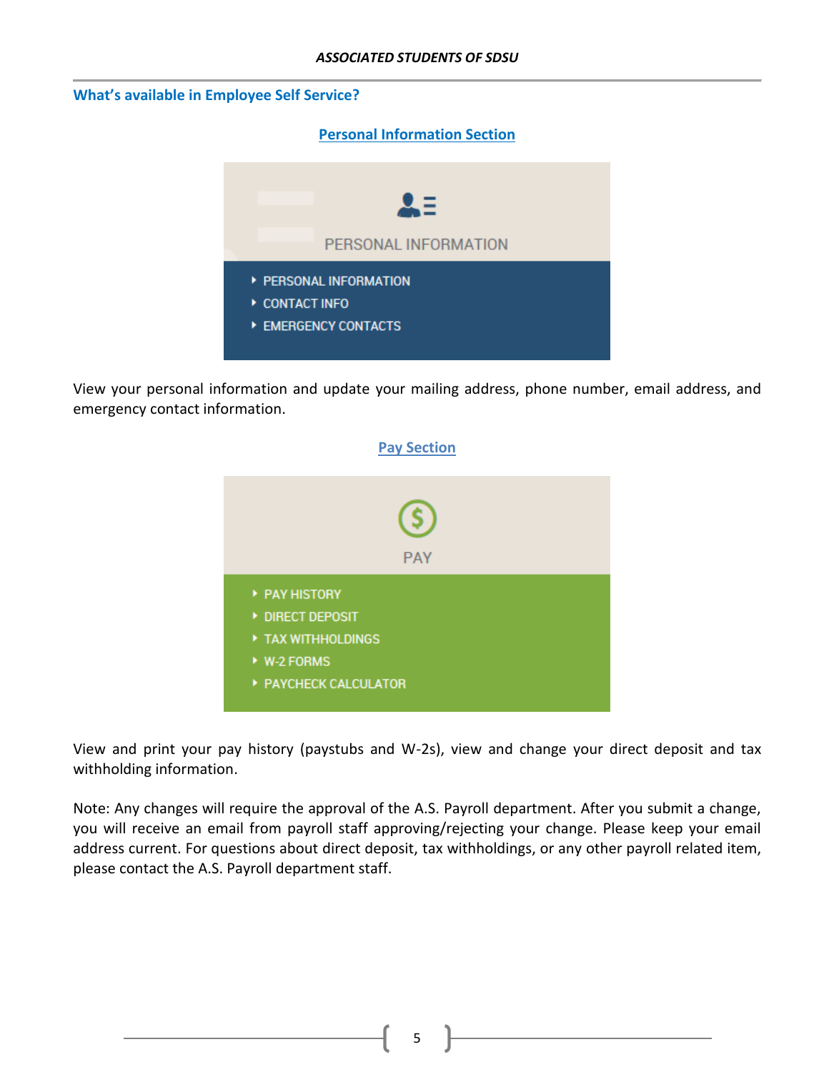#### *ASSOCIATED STUDENTS OF SDSU*

#### **What's available in Employee Self Service?**

**Personal Information Section**



View your personal information and update your mailing address, phone number, email address, and emergency contact information.



View and print your pay history (paystubs and W-2s), view and change your direct deposit and tax withholding information.

Note: Any changes will require the approval of the A.S. Payroll department. After you submit a change, you will receive an email from payroll staff approving/rejecting your change. Please keep your email address current. For questions about direct deposit, tax withholdings, or any other payroll related item, please contact the A.S. Payroll department staff.

5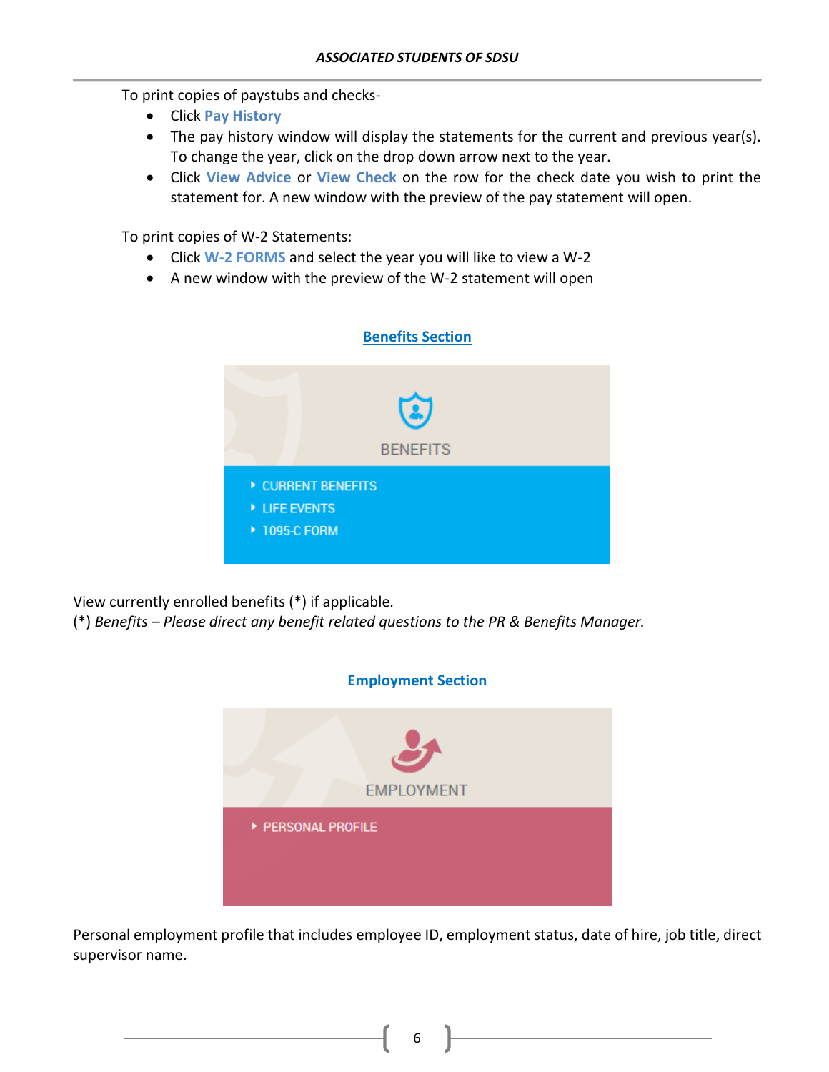To print copies of paystubs and checks-

- Click **Pay History**
- The pay history window will display the statements for the current and previous year(s). To change the year, click on the drop down arrow next to the year.
- Click **View Advice** or **View Check** on the row for the check date you wish to print the statement for. A new window with the preview of the pay statement will open.

To print copies of W-2 Statements:

- Click **W-2 FORMS** and select the year you will like to view a W-2
- A new window with the preview of the W-2 statement will open



View currently enrolled benefits (\*) if applicable*.*

(\*) *Benefits – Please direct any benefit related questions to the PR & Benefits Manager.*



Personal employment profile that includes employee ID, employment status, date of hire, job title, direct supervisor name.